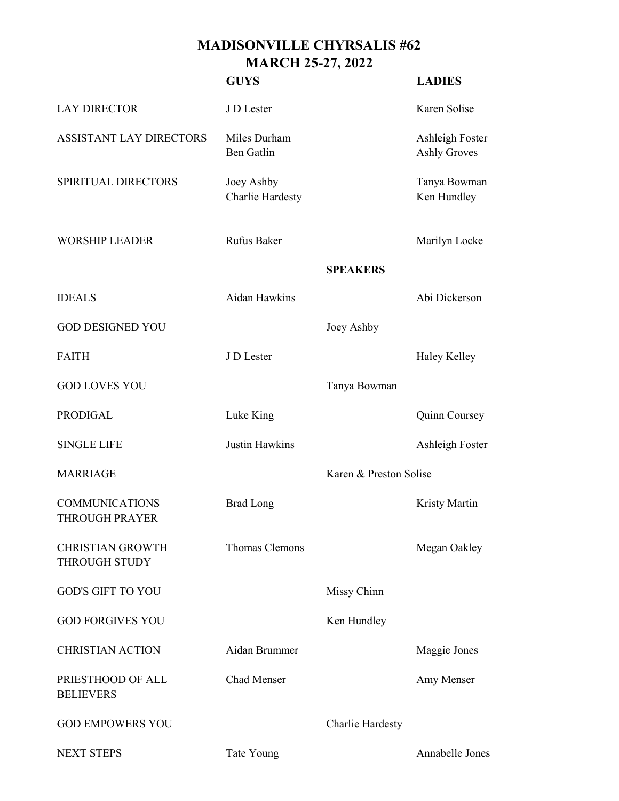## **MADISONVILLE CHYRSALIS #62 MARCH 25-27, 2022**

|                                                | <b>GUYS</b>                       |                        | <b>LADIES</b>                          |
|------------------------------------------------|-----------------------------------|------------------------|----------------------------------------|
| <b>LAY DIRECTOR</b>                            | J D Lester                        |                        | Karen Solise                           |
| <b>ASSISTANT LAY DIRECTORS</b>                 | Miles Durham<br><b>Ben Gatlin</b> |                        | Ashleigh Foster<br><b>Ashly Groves</b> |
| SPIRITUAL DIRECTORS                            | Joey Ashby<br>Charlie Hardesty    |                        | Tanya Bowman<br>Ken Hundley            |
| <b>WORSHIP LEADER</b>                          | Rufus Baker                       |                        | Marilyn Locke                          |
|                                                |                                   | <b>SPEAKERS</b>        |                                        |
| <b>IDEALS</b>                                  | Aidan Hawkins                     |                        | Abi Dickerson                          |
| <b>GOD DESIGNED YOU</b>                        |                                   | Joey Ashby             |                                        |
| <b>FAITH</b>                                   | J D Lester                        |                        | Haley Kelley                           |
| <b>GOD LOVES YOU</b>                           |                                   | Tanya Bowman           |                                        |
| <b>PRODIGAL</b>                                | Luke King                         |                        | Quinn Coursey                          |
| <b>SINGLE LIFE</b>                             | <b>Justin Hawkins</b>             |                        | Ashleigh Foster                        |
| <b>MARRIAGE</b>                                |                                   | Karen & Preston Solise |                                        |
| <b>COMMUNICATIONS</b><br><b>THROUGH PRAYER</b> | <b>Brad Long</b>                  |                        | Kristy Martin                          |
| <b>CHRISTIAN GROWTH</b><br>THROUGH STUDY       | Thomas Clemons                    |                        | Megan Oakley                           |
| <b>GOD'S GIFT TO YOU</b>                       |                                   | Missy Chinn            |                                        |
| <b>GOD FORGIVES YOU</b>                        |                                   | Ken Hundley            |                                        |
| <b>CHRISTIAN ACTION</b>                        | Aidan Brummer                     |                        | Maggie Jones                           |
| PRIESTHOOD OF ALL<br><b>BELIEVERS</b>          | Chad Menser                       |                        | Amy Menser                             |
| <b>GOD EMPOWERS YOU</b>                        |                                   | Charlie Hardesty       |                                        |
| <b>NEXT STEPS</b>                              | Tate Young                        |                        | Annabelle Jones                        |